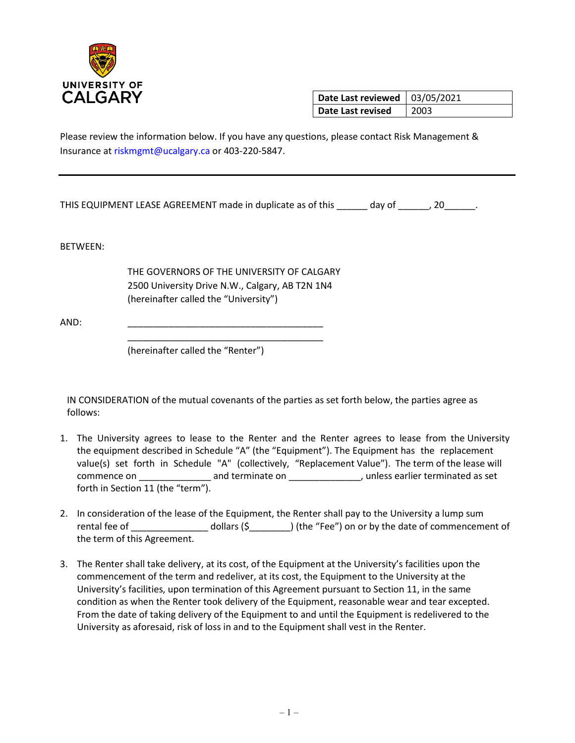

**Date Last reviewed** | 03/05/2021 **Date Last revised** 2003

Please review the information below. If you have any questions, please contact Risk Management & Insurance at riskmgmt@ucalgary.ca or 403-220-5847.

THIS EQUIPMENT LEASE AGREEMENT made in duplicate as of this \_\_\_\_\_\_ day of \_\_\_\_\_\_, 20\_\_\_\_\_\_.

BETWEEN:

THE GOVERNORS OF THE UNIVERSITY OF CALGARY 2500 University Drive N.W., Calgary, AB T2N 1N4 (hereinafter called the "University")

\_\_\_\_\_\_\_\_\_\_\_\_\_\_\_\_\_\_\_\_\_\_\_\_\_\_\_\_\_\_\_\_\_\_\_\_\_\_

AND: \_\_\_\_\_\_\_\_\_\_\_\_\_\_\_\_\_\_\_\_\_\_\_\_\_\_\_\_\_\_\_\_\_\_\_\_\_\_

(hereinafter called the "Renter")

IN CONSIDERATION of the mutual covenants of the parties as set forth below, the parties agree as follows:

- 1. The University agrees to lease to the Renter and the Renter agrees to lease from the University the equipment described in Schedule "A" (the "Equipment"). The Equipment has the replacement value(s) set forth in Schedule "A" (collectively, "Replacement Value"). The term of the lease will commence on \_\_\_\_\_\_\_\_\_\_\_\_\_\_\_\_\_\_ and terminate on \_\_\_\_\_\_\_\_\_\_\_\_\_\_\_\_, unless earlier terminated as set forth in Section 11 (the "term").
- 2. In consideration of the lease of the Equipment, the Renter shall pay to the University a lump sum rental fee of \_\_\_\_\_\_\_\_\_\_\_\_\_\_\_\_\_\_ dollars (\$\_\_\_\_\_\_\_\_\_) (the "Fee") on or by the date of commencement of the term of this Agreement.
- 3. The Renter shall take delivery, at its cost, of the Equipment at the University's facilities upon the commencement of the term and redeliver, at its cost, the Equipment to the University at the University's facilities, upon termination of this Agreement pursuant to Section 11, in the same condition as when the Renter took delivery of the Equipment, reasonable wear and tear excepted. From the date of taking delivery of the Equipment to and until the Equipment is redelivered to the University as aforesaid, risk of loss in and to the Equipment shall vest in the Renter.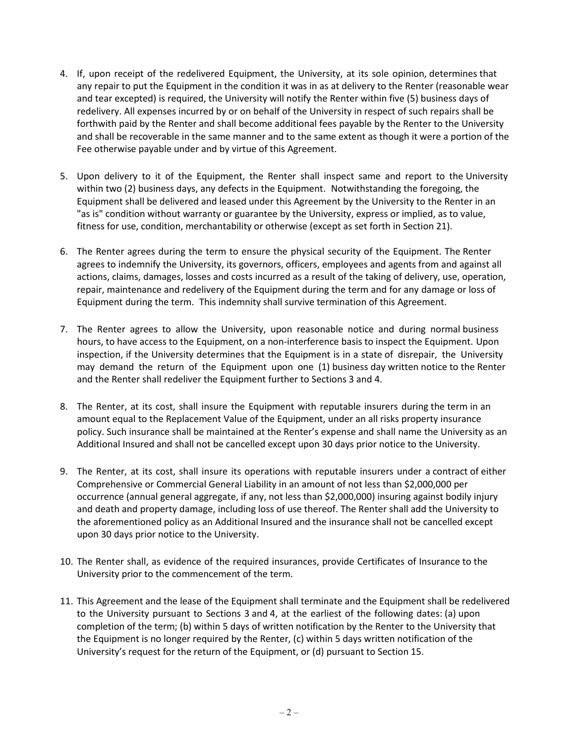- 4. If, upon receipt of the redelivered Equipment, the University, at its sole opinion, determines that any repair to put the Equipment in the condition it was in as at delivery to the Renter (reasonable wear and tear excepted) is required, the University will notify the Renter within five (5) business days of redelivery. All expenses incurred by or on behalf of the University in respect of such repairs shall be forthwith paid by the Renter and shall become additional fees payable by the Renter to the University and shall be recoverable in the same manner and to the same extent as though it were a portion of the Fee otherwise payable under and by virtue of this Agreement.
- 5. Upon delivery to it of the Equipment, the Renter shall inspect same and report to the University within two (2) business days, any defects in the Equipment. Notwithstanding the foregoing, the Equipment shall be delivered and leased under this Agreement by the University to the Renter in an "as is" condition without warranty or guarantee by the University, express or implied, as to value, fitness for use, condition, merchantability or otherwise (except as set forth in Section 21).
- 6. The Renter agrees during the term to ensure the physical security of the Equipment. The Renter agrees to indemnify the University, its governors, officers, employees and agents from and against all actions, claims, damages, losses and costs incurred as a result of the taking of delivery, use, operation, repair, maintenance and redelivery of the Equipment during the term and for any damage or loss of Equipment during the term. This indemnity shall survive termination of this Agreement.
- 7. The Renter agrees to allow the University, upon reasonable notice and during normal business hours, to have access to the Equipment, on a non-interference basis to inspect the Equipment. Upon inspection, if the University determines that the Equipment is in a state of disrepair, the University may demand the return of the Equipment upon one (1) business day written notice to the Renter and the Renter shall redeliver the Equipment further to Sections 3 and 4.
- 8. The Renter, at its cost, shall insure the Equipment with reputable insurers during the term in an amount equal to the Replacement Value of the Equipment, under an all risks property insurance policy. Such insurance shall be maintained at the Renter's expense and shall name the University as an Additional Insured and shall not be cancelled except upon 30 days prior notice to the University.
- 9. The Renter, at its cost, shall insure its operations with reputable insurers under a contract of either Comprehensive or Commercial General Liability in an amount of not less than \$2,000,000 per occurrence (annual general aggregate, if any, not less than \$2,000,000) insuring against bodily injury and death and property damage, including loss of use thereof. The Renter shall add the University to the aforementioned policy as an Additional Insured and the insurance shall not be cancelled except upon 30 days prior notice to the University.
- 10. The Renter shall, as evidence of the required insurances, provide Certificates of Insurance to the University prior to the commencement of the term.
- 11. This Agreement and the lease of the Equipment shall terminate and the Equipment shall be redelivered to the University pursuant to Sections 3 and 4, at the earliest of the following dates: (a) upon completion of the term; (b) within 5 days of written notification by the Renter to the University that the Equipment is no longer required by the Renter, (c) within 5 days written notification of the University's request for the return of the Equipment, or (d) pursuant to Section 15.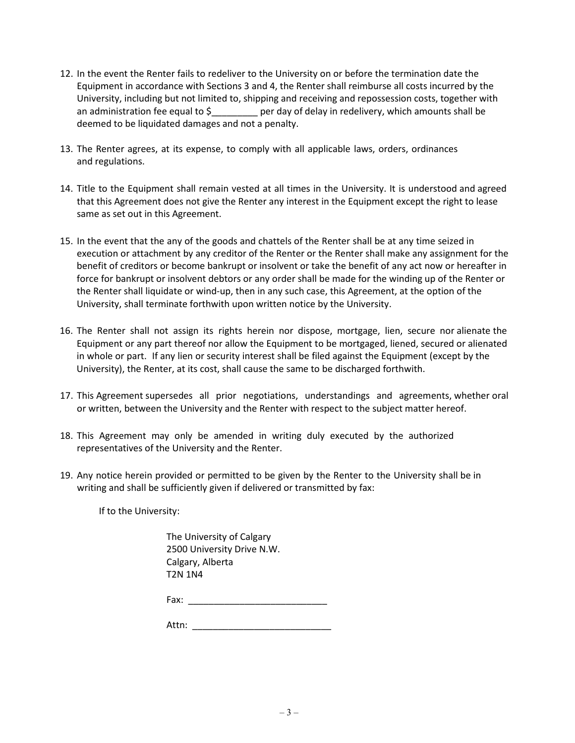- 12. In the event the Renter fails to redeliver to the University on or before the termination date the Equipment in accordance with Sections 3 and 4, the Renter shall reimburse all costs incurred by the University, including but not limited to, shipping and receiving and repossession costs, together with an administration fee equal to \$\_\_\_\_\_\_\_\_\_ per day of delay in redelivery, which amounts shall be deemed to be liquidated damages and not a penalty.
- 13. The Renter agrees, at its expense, to comply with all applicable laws, orders, ordinances and regulations.
- 14. Title to the Equipment shall remain vested at all times in the University. It is understood and agreed that this Agreement does not give the Renter any interest in the Equipment except the right to lease same as set out in this Agreement.
- 15. In the event that the any of the goods and chattels of the Renter shall be at any time seized in execution or attachment by any creditor of the Renter or the Renter shall make any assignment for the benefit of creditors or become bankrupt or insolvent or take the benefit of any act now or hereafter in force for bankrupt or insolvent debtors or any order shall be made for the winding up of the Renter or the Renter shall liquidate or wind-up, then in any such case, this Agreement, at the option of the University, shall terminate forthwith upon written notice by the University.
- 16. The Renter shall not assign its rights herein nor dispose, mortgage, lien, secure nor alienate the Equipment or any part thereof nor allow the Equipment to be mortgaged, liened, secured or alienated in whole or part. If any lien or security interest shall be filed against the Equipment (except by the University), the Renter, at its cost, shall cause the same to be discharged forthwith.
- 17. This Agreement supersedes all prior negotiations, understandings and agreements, whether oral or written, between the University and the Renter with respect to the subject matter hereof.
- 18. This Agreement may only be amended in writing duly executed by the authorized representatives of the University and the Renter.
- 19. Any notice herein provided or permitted to be given by the Renter to the University shall be in writing and shall be sufficiently given if delivered or transmitted by fax:

If to the University:

The University of Calgary 2500 University Drive N.W. Calgary, Alberta T2N 1N4

Fax: \_\_\_\_\_\_\_\_\_\_\_\_\_\_\_\_\_\_\_\_\_\_\_\_\_\_\_

Attn: \_\_\_\_\_\_\_\_\_\_\_\_\_\_\_\_\_\_\_\_\_\_\_\_\_\_\_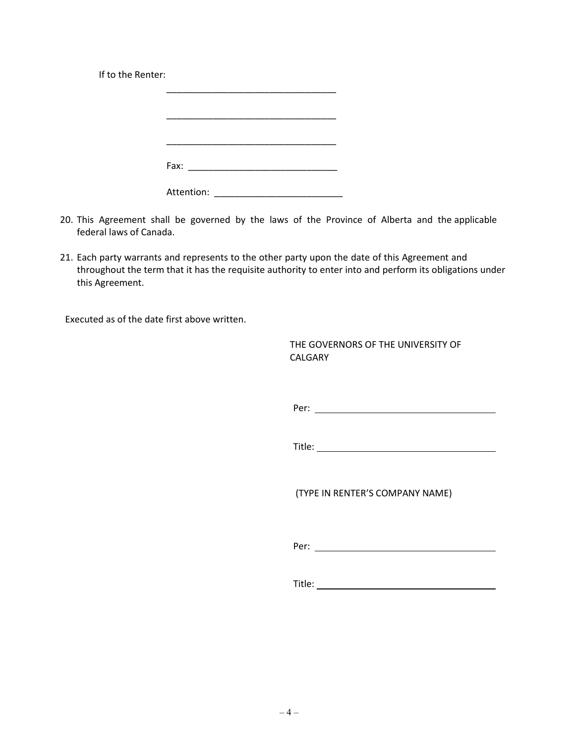If to the Renter:

| Fax:       |  |
|------------|--|
|            |  |
| Attention: |  |

- 20. This Agreement shall be governed by the laws of the Province of Alberta and the applicable federal laws of Canada.
- 21. Each party warrants and represents to the other party upon the date of this Agreement and throughout the term that it has the requisite authority to enter into and perform its obligations under this Agreement.

Executed as of the date first above written.

THE GOVERNORS OF THE UNIVERSITY OF CALGARY

Per:

Title:

(TYPE IN RENTER'S COMPANY NAME)

Per:

Title: